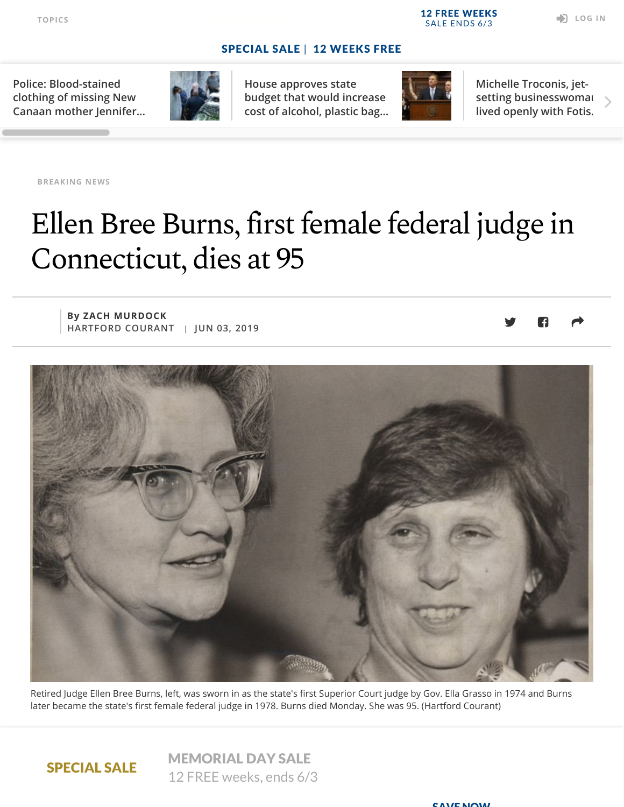CAVE NOW

**Police: Blood-stained clothing of missing New [Canaan mother Jennifer…](https://www.courant.com/breaking-news/hc-br-ct-dulos-court-20190603-ndbwxvndpfa3xdknw4wvxqmhqi-story.html#nt=tertiarynavbar)**



**House approves state budget that would increase [cost of alcohol, plastic bag…](https://www.courant.com/politics/hc-pol-house-votes-budget-20190603-rztluxivsjeupioogdmqfnt3eq-story.html#nt=tertiarynavbar)**



**Michelle Troconis, jet[setting businesswoman,](https://www.courant.com/news/connecticut/hc-news-michelle-troconis-relationship-fotis-dulos-20190603-wvhyjb3j6ret5p3qde3ygfrg2q-story.html#nt=tertiarynavbar) lived openly with Fotis…**

**[BREAKING](https://www.courant.com/breaking-news/#nt=taxonomy-article) NEWS**

## Ellen Bree Burns, first female federal judge in Connecticut, dies at 95

**By ZACH MURDOCK HARTFORD COURANT | JUN 03, 2019**



Retired Judge Ellen Bree Burns, left, was sworn in as the state's first Superior Court judge by Gov. Ella Grasso in 1974 and Burns later became the state's first female federal judge in 1978. Burns died Monday. She was 95. (Hartford Courant)

Trailblazing judge Ellen Bree Burns shattered gender barriers in Connecticut's judicial

### SPECIAL SALE

MEMORIAL DAY SALE 12 FREE weeks, ends 6/3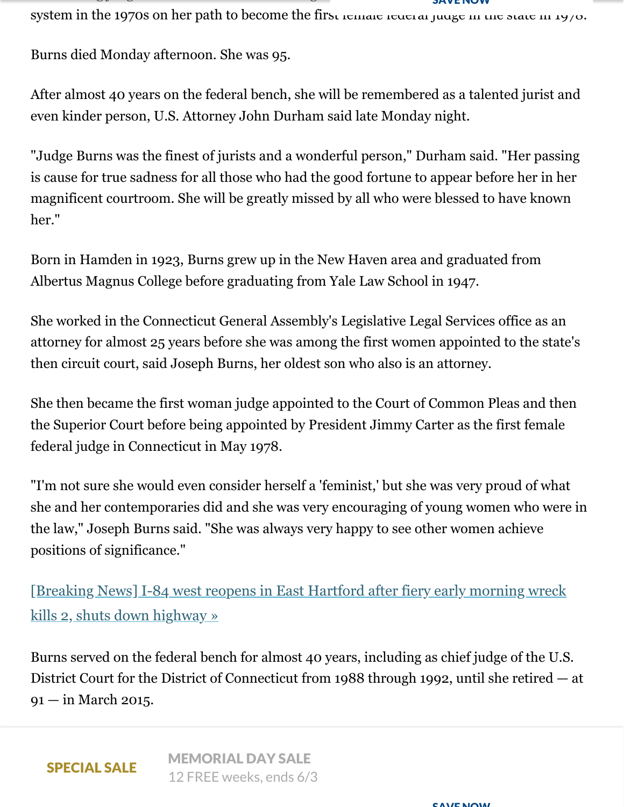$\mathcal{L}$  is a general function of  $\mathcal{L}$  general function of  $\mathcal{L}$  is a general function of  $\mathcal{L}$ system in the 1970s on her path to become the first remale rederal judge in the state in 1970. SAVE NUW

Burns died Monday afternoon. She was 95.

After almost 40 years on the federal bench, she will be remembered as a talented jurist and even kinder person, U.S. Attorney John Durham said late Monday night.

"Judge Burns was the finest of jurists and a wonderful person," Durham said. "Her passing is cause for true sadness for all those who had the good fortune to appear before her in her magnificent courtroom. She will be greatly missed by all who were blessed to have known her."

Born in Hamden in 1923, Burns grew up in the New Haven area and graduated from Albertus Magnus College before graduating from Yale Law School in 1947.

She worked in the Connecticut General Assembly's Legislative Legal Services office as an attorney for almost 25 years before she was among the first women appointed to the state's then circuit court, said Joseph Burns, her oldest son who also is an attorney.

She then became the first woman judge appointed to the Court of Common Pleas and then the Superior Court before being appointed by President Jimmy Carter as the first female federal judge in Connecticut in May 1978.

"I'm not sure she would even consider herself a 'feminist,' but she was very proud of what she and her contemporaries did and she was very encouraging of young women who were in the law," Joseph Burns said. "She was always very happy to see other women achieve positions of significance."

[\[Breaking News\] I-84 west reopens in East Hartford after fiery early morning wreck](https://www.courant.com/breaking-news/hc-br-east-hartford-fatal-school-bus-tractor-trailer-crash-20190603-bji232q4qngd7mpajx7vhtoyb4-story.html#nt=interstitial-auto) kills 2, shuts down highway »

Burns served on the federal bench for almost 40 years, including as chief judge of the U.S. District Court for the District of Connecticut from 1988 through 1992, until she retired — at 91 — in March 2015.

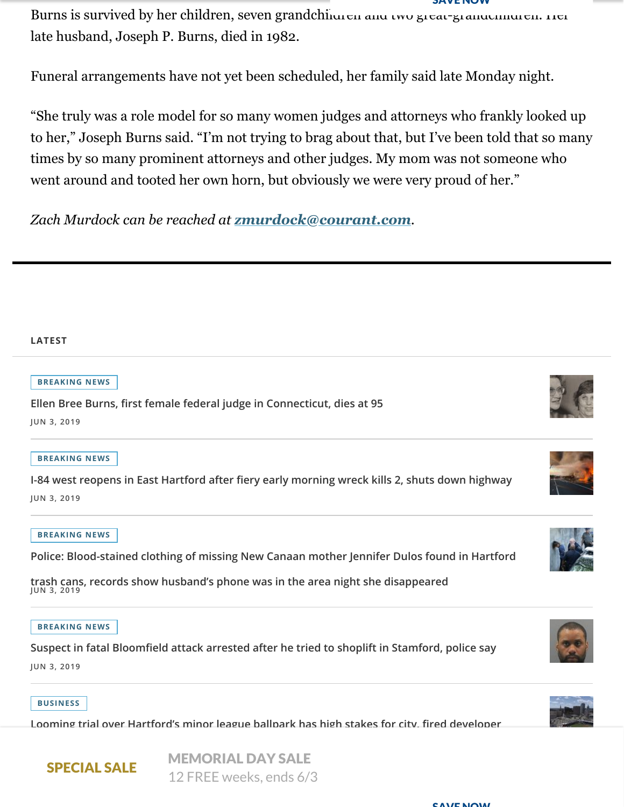Burns is survived by her children, seven grandchildren and two great-grandchildren. Her late husband, Joseph P. Burns, died in 1982. SAVE NUW

Funeral arrangements have not yet been scheduled, her family said late Monday night.

"She truly was a role model for so many women judges and attorneys who frankly looked up to her," Joseph Burns said. "I'm not trying to brag about that, but I've been told that so many times by so many prominent attorneys and other judges. My mom was not someone who went around and tooted her own horn, but obviously we were very proud of her."

*Zach Murdock can be reached at [zmurdock@courant.com](mailto:zmurdock@courant.com).*

#### **LATEST**

#### **[BREAKING](https://www.courant.com/breaking-news/#nt=taxonomy-article) NEWS**

**Ellen Bree Burns, first female federal judge in Connecticut, dies at 95**

**JUN 3, 2019**

#### **[BREAKING](https://www.courant.com/breaking-news/#nt=taxonomy-article) NEWS**

**[I-84 west reopens in East Hartford after fiery early morning wreck kills 2, shuts down highway](https://www.courant.com/breaking-news/hc-br-east-hartford-fatal-school-bus-tractor-trailer-crash-20190603-bji232q4qngd7mpajx7vhtoyb4-story.html#nt=related-content) JUN 3, 2019**

#### **[BREAKING](https://www.courant.com/breaking-news/#nt=taxonomy-article) NEWS**

**[Police: Blood-stained clothing of missing New Canaan mother Jennifer Dulos found in Hartford](https://www.courant.com/breaking-news/hc-br-ct-dulos-court-20190603-ndbwxvndpfa3xdknw4wvxqmhqi-story.html#nt=related-content)**

**trash cans, records show husband's phone was in the area night she disappeared JUN 3, 2019**

#### **[BREAKING](https://www.courant.com/breaking-news/#nt=taxonomy-article) NEWS**

**[Suspect in fatal Bloomfield attack arrested after he tried to shoplift in Stamford, police say](https://www.courant.com/breaking-news/hc-br-bloomfield-suspect-in-deadly-attack-arrest-20190603-ik2puluwgvbspndwbgp5nygujq-story.html#nt=related-content) JUN 3, 2019**

#### **[BUSINESS](https://www.courant.com/business/#nt=taxonomy-article)**

SPECIAL SALE

**[Looming trial over Hartford's minor league ballpark has high stakes for city, fired developer](https://www.courant.com/business/hc-biz-downtown-north-trial-20190603-zupubxfernd5tideklhgppxqpy-story.html#nt=related-content)**

MEMORIAL DAY SALE 12 FREE weeks, ends 6/3









#### CAVE NOW